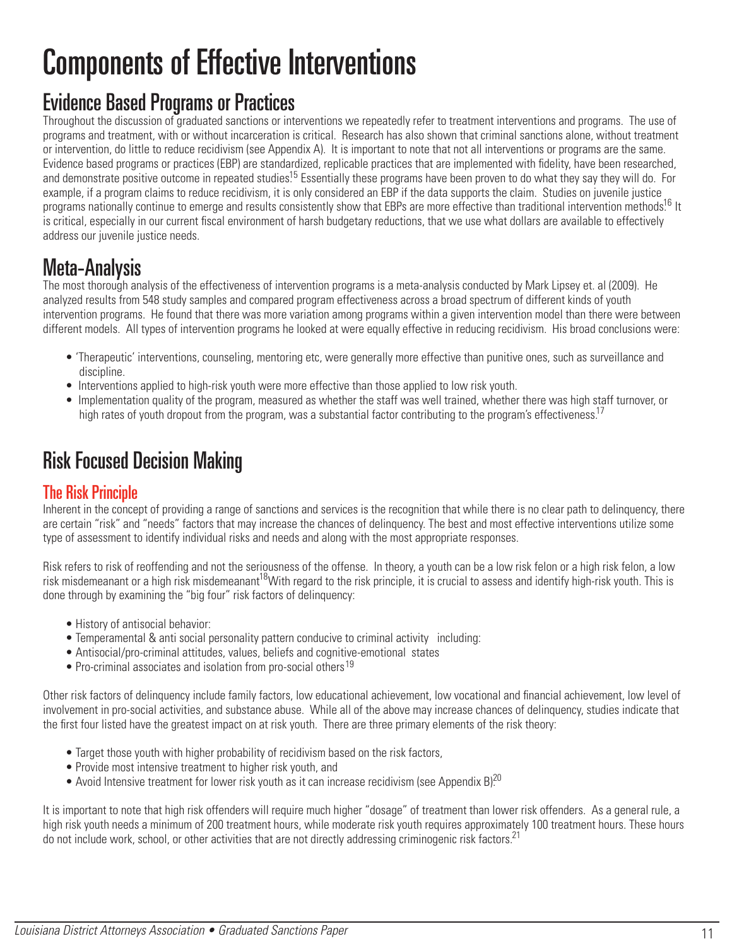# Components of Effective Interventions

## Evidence Based Programs or Practices

Throughout the discussion of graduated sanctions or interventions we repeatedly refer to treatment interventions and programs. The use of programs and treatment, with or without incarceration is critical. Research has also shown that criminal sanctions alone, without treatment or intervention, do little to reduce recidivism (see Appendix A). It is important to note that not all interventions or programs are the same. Evidence based programs or practices (EBP) are standardized, replicable practices that are implemented with fidelity, have been researched, and demonstrate positive outcome in repeated studies<sup>15</sup> Essentially these programs have been proven to do what they say they will do. For example, if a program claims to reduce recidivism, it is only considered an EBP if the data supports the claim. Studies on juvenile justice programs nationally continue to emerge and results consistently show that EBPs are more effective than traditional intervention methods.<sup>16</sup> It is critical, especially in our current fiscal environment of harsh budgetary reductions, that we use what dollars are available to effectively address our juvenile justice needs.

## Meta-Analysis

The most thorough analysis of the effectiveness of intervention programs is a meta-analysis conducted by Mark Lipsey et. al (2009). He analyzed results from 548 study samples and compared program effectiveness across a broad spectrum of different kinds of youth intervention programs. He found that there was more variation among programs within a given intervention model than there were between different models. All types of intervention programs he looked at were equally effective in reducing recidivism. His broad conclusions were:

- 'Therapeutic' interventions, counseling, mentoring etc, were generally more effective than punitive ones, such as surveillance and discipline.
- Interventions applied to high-risk youth were more effective than those applied to low risk youth.
- Implementation quality of the program, measured as whether the staff was well trained, whether there was high staff turnover, or high rates of youth dropout from the program, was a substantial factor contributing to the program's effectiveness.<sup>17</sup>

## Risk Focused Decision Making

#### The Risk Principle

Inherent in the concept of providing a range of sanctions and services is the recognition that while there is no clear path to delinquency, there are certain "risk" and "needs" factors that may increase the chances of delinquency. The best and most effective interventions utilize some type of assessment to identify individual risks and needs and along with the most appropriate responses.

Risk refers to risk of reoffending and not the seriousness of the offense. In theory, a youth can be a low risk felon or a high risk felon, a low risk misdemeanant or a high risk misdemeanant<sup>18</sup>With regard to the risk principle, it is crucial to assess and identify high-risk youth. This is done through by examining the "big four" risk factors of delinquency:

- History of antisocial behavior:
- Temperamental & anti social personality pattern conducive to criminal activity including:
- Antisocial/pro-criminal attitudes, values, beliefs and cognitive-emotional states
- Pro-criminal associates and isolation from pro-social others<sup>19</sup>

Other risk factors of delinquency include family factors, low educational achievement, low vocational and financial achievement, low level of involvement in pro-social activities, and substance abuse. While all of the above may increase chances of delinquency, studies indicate that the first four listed have the greatest impact on at risk youth. There are three primary elements of the risk theory:

- Target those youth with higher probability of recidivism based on the risk factors,
- Provide most intensive treatment to higher risk youth, and
- Avoid Intensive treatment for lower risk youth as it can increase recidivism (see Appendix B)<sup>20</sup>

It is important to note that high risk offenders will require much higher "dosage" of treatment than lower risk offenders. As a general rule, a high risk youth needs a minimum of 200 treatment hours, while moderate risk youth requires approximately 100 treatment hours. These hours do not include work, school, or other activities that are not directly addressing criminogenic risk factors.<sup>21</sup>